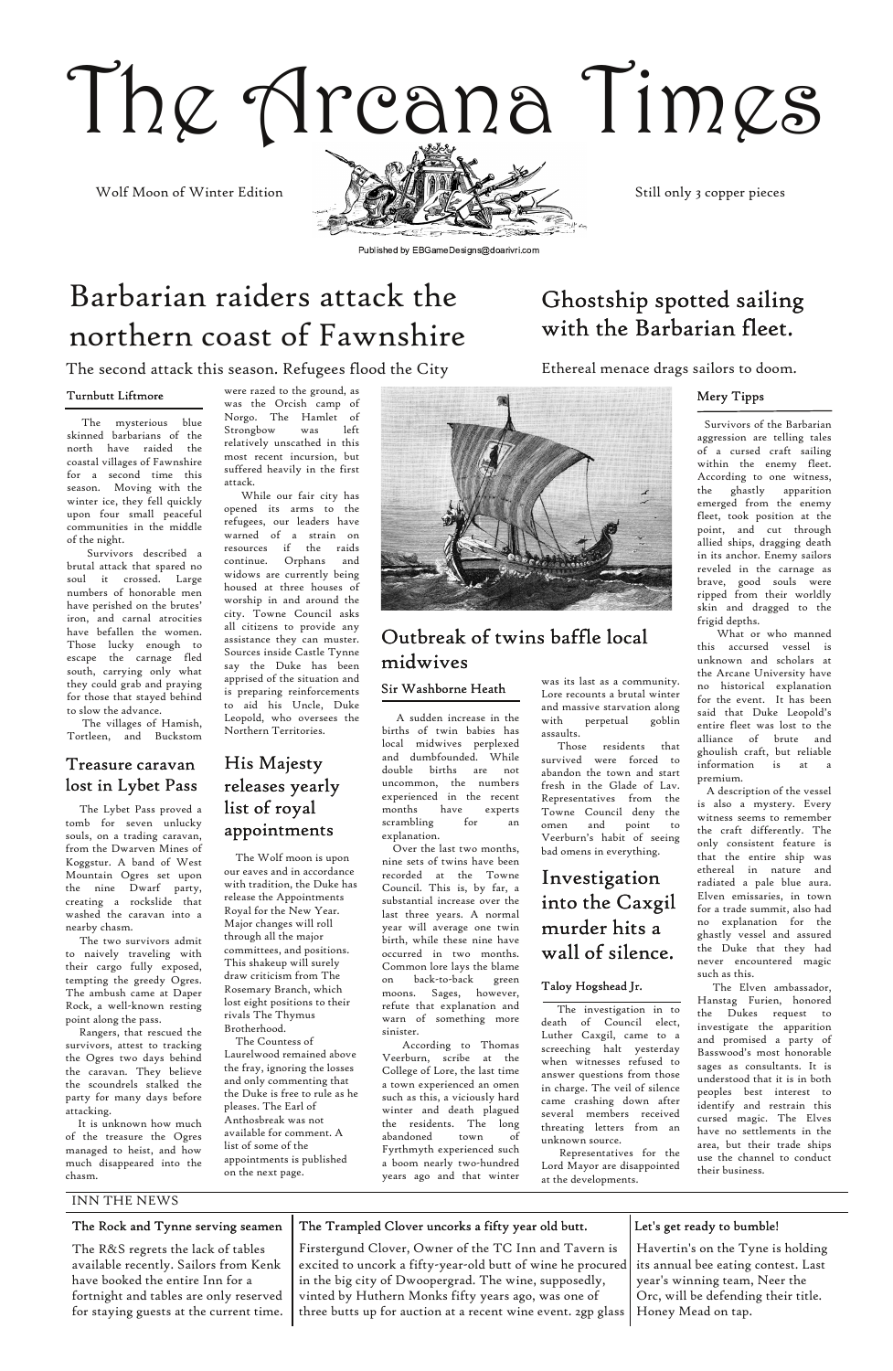# The Arcana Times

#### INN THE NEWS



Published by EBGameDesigns@doarivri.com

# Barbarian raiders attack the northern coast of Fawnshire

The second attack this season. Refugees flood the City

The Lybet Pass proved a tomb for seven unlucky souls, on a trading caravan, from the Dwarven Mines of Koggstur. A band of West Mountain Ogres set upon the nine Dwarf party, creating a rockslide that washed the caravan into a nearby chasm.

The two survivors admit to naively traveling with their cargo fully exposed, tempting the greedy Ogres. The ambush came at Daper Rock, a well‐known resting

point along the pass.

Rangers, that rescued the survivors, attest to tracking the Ogres two days behind the caravan. They believe the scoundrels stalked the party for many days before attacking.

It is unknown how much of the treasure the Ogres managed to heist, and how much disappeared into the chasm.

| The Rock and Tynne serving seamen       | The Trampled Clover uncorks a fifty year old butt.                                              | Let's get ready to bumble!          |
|-----------------------------------------|-------------------------------------------------------------------------------------------------|-------------------------------------|
| The R&S regrets the lack of tables      | Firstergund Clover, Owner of the TC Inn and Tavern is                                           | Havertin's on the Tyne is holding   |
| available recently. Sailors from Kenk   | excited to uncork a fifty-year-old butt of wine he procured its annual bee eating contest. Last |                                     |
| have booked the entire Inn for a        | in the big city of Dwoopergrad. The wine, supposedly,                                           | year's winning team, Neer the       |
| fortnight and tables are only reserved  | vinted by Huthern Monks fifty years ago, was one of                                             | Orc, will be defending their title. |
| for staying guests at the current time. | three butts up for auction at a recent wine event. 2gp glass                                    | Honey Mead on tap.                  |

#### Turnbutt Liftmore

#### Sir Washborne Heath

A sudden increase in the births of twin babies has local midwives perplexed and dumbfounded. While double births are not uncommon, the numbers experienced in the recent months have experts scrambling for an explanation.

Over the last two months, nine sets of twins have been recorded at the Towne Council. This is, by far, a substantial increase over the last three years. A normal year will average one twin birth, while these nine have occurred in two months. Common lore lays the blame on back‐to‐back green moons. Sages, however, refute that explanation and warn of something more sinister. According to Thomas Veerburn, scribe at the College of Lore, the last time a town experienced an omen such as this, a viciously hard winter and death plagued the residents. The long abandoned town of Fyrthmyth experienced such a boom nearly two‐hundred years ago and that winter

was its last as a community. Lore recounts a brutal winter and massive starvation along with perpetual goblin assaults.

Those residents that survived were forced to abandon the town and start fresh in the Glade of Lav. Representatives from the Towne Council deny the omen and point to Veerburn's habit of seeing bad omens in everything.

The mysterious blue skinned barbarians of the north have raided the coastal villages of Fawnshire for a second time this season. Moving with the winter ice, they fell quickly upon four small peaceful communities in the middle of the night.

Survivors described a brutal attack that spared no soul it crossed. Large numbers of honorable men have perished on the brutes' iron, and carnal atrocities have befallen the women. Those lucky enough to escape the carnage fled south, carrying only what they could grab and praying for those that stayed behind to slow the advance.

The villages of Hamish, Tortleen, and Buckstom were razed to the ground, as was the Orcish camp of Norgo. The Hamlet of Strongbow was left relatively unscathed in this most recent incursion, but suffered heavily in the first attack.

While our fair city has opened its arms to the refugees, our leaders have warned of a strain on resources if the raids continue. Orphans and widows are currently being housed at three houses of worship in and around the city. Towne Council asks all citizens to provide any assistance they can muster. Sources inside Castle Tynne say the Duke has been apprised of the situation and is preparing reinforcements to aid his Uncle, Duke Leopold, who oversees the Northern Territories.

#### Mery Tipps

Ethereal menace drags sailors to doom.

# Investigation into the Caxgil murder hits a wall of silence.

# Ghostship spotted sailing with the Barbarian fleet.

# Outbreak of twins baffle local midwives

Survivors of the Barbarian aggression are telling tales of a cursed craft sailing within the enemy fleet. According to one witness, the ghastly apparition emerged from the enemy fleet, took position at the point, and cut through allied ships, dragging death in its anchor. Enemy sailors reveled in the carnage as brave, good souls were ripped from their worldly skin and dragged to the frigid depths.

What or who manned this accursed vessel is unknown and scholars at the Arcane University have no historical explanation for the event. It has been said that Duke Leopold's entire fleet was lost to the alliance of brute and ghoulish craft, but reliable information is at a premium.

A description of the vessel is also a mystery. Every witness seems to remember the craft differently. The only consistent feature is that the entire ship was ethereal in nature and radiated a pale blue aura. Elven emissaries, in town for a trade summit, also had no explanation for the ghastly vessel and assured the Duke that they had never encountered magic such as this.

The Elven ambassador, Hanstag Furien, honored the Dukes request to investigate the apparition and promised a party of Basswood's most honorable sages as consultants. It is understood that it is in both peoples best interest to identify and restrain this cursed magic. The Elves have no settlements in the area, but their trade ships use the channel to conduct their business.



#### His Majesty releases yearly list of royal appointments

#### Taloy Hogshead Jr.

The investigation in to death of Council elect, Luther Caxgil, came to a screeching halt yesterday when witnesses refused to answer questions from those in charge. The veil of silence came crashing down after several members received threating letters from an unknown source.

Representatives for the Lord Mayor are disappointed at the developments.

#### Treasure caravan lost in Lybet Pass

The Wolf moon is upon our eaves and in accordance with tradition, the Duke has release the Appointments Royal for the New Year. Major changes will roll through all the major committees, and positions. This shakeup will surely draw criticism from The Rosemary Branch, which lost eight positions to their

rivals The Thymus Brotherhood.

The Countess of Laurelwood remained above the fray, ignoring the losses and only commenting that the Duke is free to rule as he pleases. The Earl of

Anthosbreak was not available for comment. A list of some of the

appointments is published on the next page.